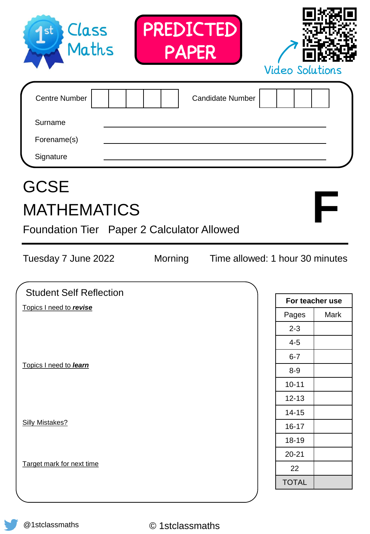| Class<br>Maths<br>1st                                                                  | PREDICTED<br><b>PAPER</b> |                                 | <b>Video Solutions</b> |                 |
|----------------------------------------------------------------------------------------|---------------------------|---------------------------------|------------------------|-----------------|
| <b>Centre Number</b><br>Surname<br>Forename(s)<br>Signature                            |                           | <b>Candidate Number</b>         |                        |                 |
| <b>GCSE</b><br><b>MATHEMATICS</b><br><b>Foundation Tier</b> Paper 2 Calculator Allowed |                           |                                 |                        |                 |
| Tuesday 7 June 2022                                                                    | Morning                   | Time allowed: 1 hour 30 minutes |                        |                 |
| <b>Student Self Reflection</b>                                                         |                           |                                 |                        |                 |
| Topics I need to revise                                                                |                           |                                 |                        | For teacher use |
|                                                                                        |                           |                                 | Pages                  | Mark            |
|                                                                                        |                           |                                 | $2 - 3$<br>$4 - 5$     |                 |
|                                                                                        |                           |                                 | $6 - 7$                |                 |
| Topics I need to learn                                                                 |                           |                                 | $8-9$                  |                 |
|                                                                                        |                           |                                 | $10 - 11$              |                 |
|                                                                                        |                           |                                 | $12 - 13$              |                 |
|                                                                                        |                           |                                 | $14 - 15$              |                 |
| <b>Silly Mistakes?</b>                                                                 |                           |                                 | $16 - 17$              |                 |
|                                                                                        |                           |                                 | 18-19                  |                 |
|                                                                                        |                           |                                 | $20 - 21$              |                 |
| Target mark for next time                                                              |                           |                                 | 22<br><b>TOTAL</b>     |                 |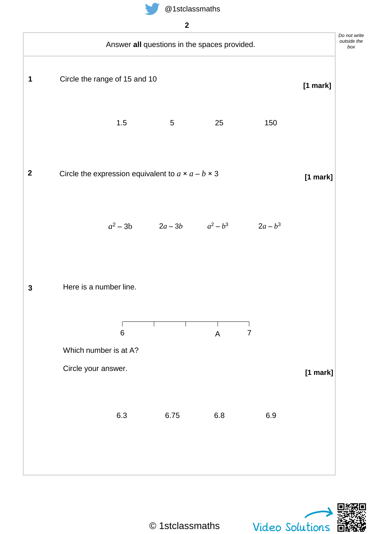**2**



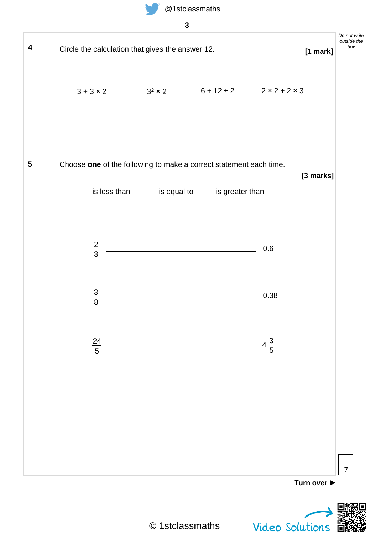

**3**



© 1stclassmaths

Video Solutions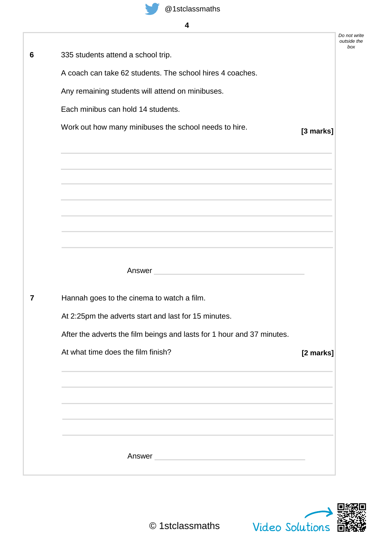

|   |                                                                                                                  |           | Do not write<br>outside the |
|---|------------------------------------------------------------------------------------------------------------------|-----------|-----------------------------|
| 6 | 335 students attend a school trip.                                                                               |           | box                         |
|   | A coach can take 62 students. The school hires 4 coaches.                                                        |           |                             |
|   | Any remaining students will attend on minibuses.                                                                 |           |                             |
|   | Each minibus can hold 14 students.                                                                               |           |                             |
|   | Work out how many minibuses the school needs to hire.                                                            | [3 marks] |                             |
|   |                                                                                                                  |           |                             |
|   |                                                                                                                  |           |                             |
|   |                                                                                                                  |           |                             |
|   |                                                                                                                  |           |                             |
|   | and the control of the control of the control of the control of the control of the control of the control of the |           |                             |
|   |                                                                                                                  |           |                             |
|   |                                                                                                                  |           |                             |
|   | Answer and the contract of the contract of the contract of the contract of the contract of the contract of the   |           |                             |
| 7 | Hannah goes to the cinema to watch a film.                                                                       |           |                             |
|   | At 2:25pm the adverts start and last for 15 minutes.                                                             |           |                             |
|   | After the adverts the film beings and lasts for 1 hour and 37 minutes.                                           |           |                             |
|   | At what time does the film finish?                                                                               |           |                             |
|   |                                                                                                                  | [2 marks] |                             |
|   |                                                                                                                  |           |                             |
|   |                                                                                                                  |           |                             |
|   |                                                                                                                  |           |                             |
|   |                                                                                                                  |           |                             |
|   | Answer                                                                                                           |           |                             |
|   |                                                                                                                  |           |                             |

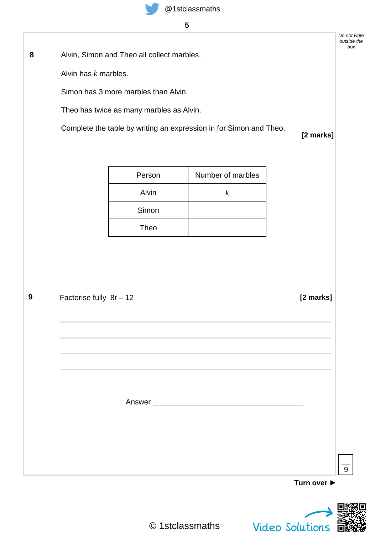Alvin, Simon and Theo all collect marbles. **8**

Alvin has *k* marbles.

Simon has 3 more marbles than Alvin.

Theo has twice as many marbles as Alvin.

Complete the table by writing an expression in for Simon and Theo.

## **[2 marks]**

*Do not write outside the box*

| Person | Number of marbles |
|--------|-------------------|
| Alvin  | k                 |
| Simon  |                   |
| Theo   |                   |

| Factorise fully $8t - 12$ | [2 marks]   |
|---------------------------|-------------|
|                           |             |
|                           |             |
|                           |             |
|                           |             |
| Answer                    |             |
|                           |             |
|                           |             |
|                           |             |
|                           |             |
|                           | Turn over ▶ |



9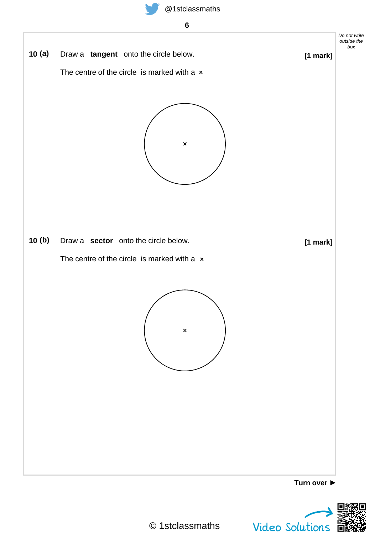



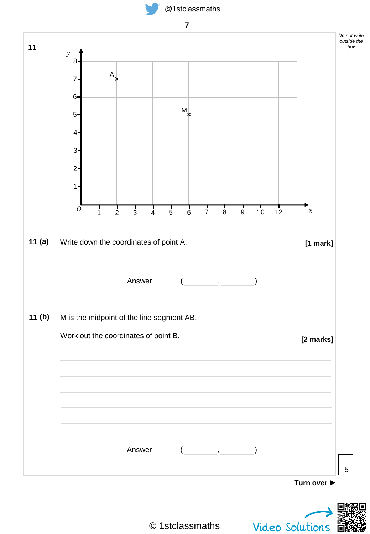





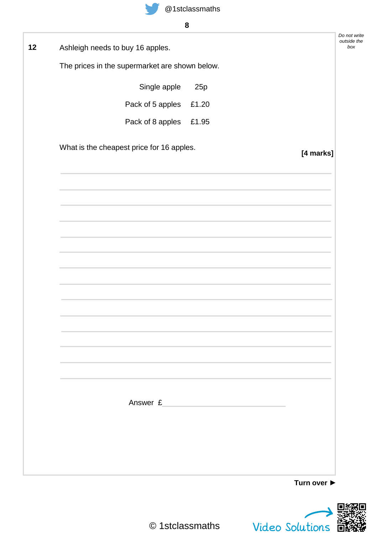

| Ashleigh needs to buy 16 apples.               |                                                                                                                      |           |
|------------------------------------------------|----------------------------------------------------------------------------------------------------------------------|-----------|
| The prices in the supermarket are shown below. |                                                                                                                      |           |
| Single apple                                   | 25p                                                                                                                  |           |
| Pack of 5 apples                               | £1.20                                                                                                                |           |
| Pack of 8 apples                               | £1.95                                                                                                                |           |
| What is the cheapest price for 16 apples.      |                                                                                                                      | [4 marks] |
|                                                |                                                                                                                      |           |
|                                                |                                                                                                                      |           |
|                                                |                                                                                                                      |           |
|                                                |                                                                                                                      |           |
|                                                |                                                                                                                      |           |
|                                                |                                                                                                                      |           |
|                                                |                                                                                                                      |           |
|                                                |                                                                                                                      |           |
|                                                |                                                                                                                      |           |
|                                                |                                                                                                                      |           |
|                                                |                                                                                                                      |           |
|                                                |                                                                                                                      |           |
|                                                |                                                                                                                      |           |
| Answer £                                       | <u> 1990 - Antonio Alemania, presidente de la provincia de la provincia de la provincia de la provincia de la pr</u> |           |
|                                                |                                                                                                                      |           |
|                                                |                                                                                                                      |           |
|                                                |                                                                                                                      |           |

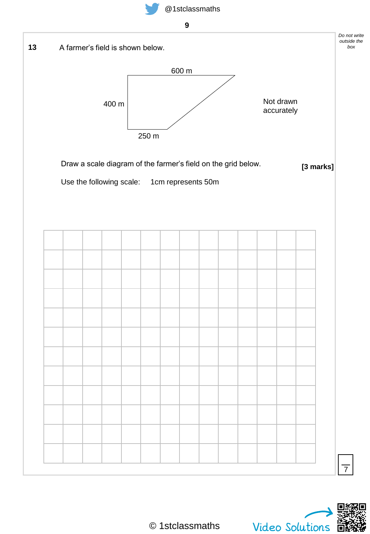



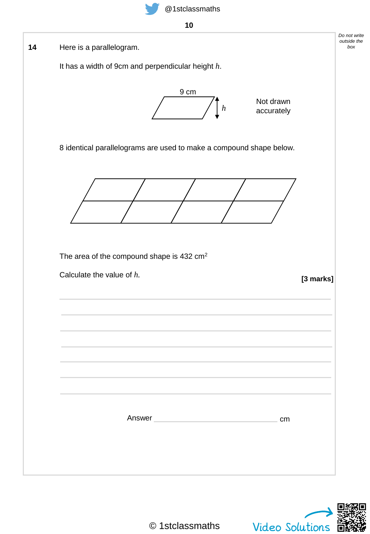

**10**



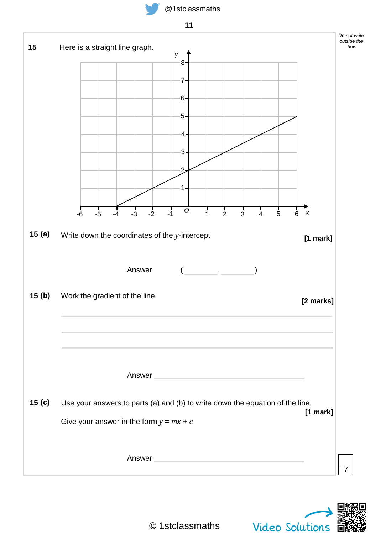





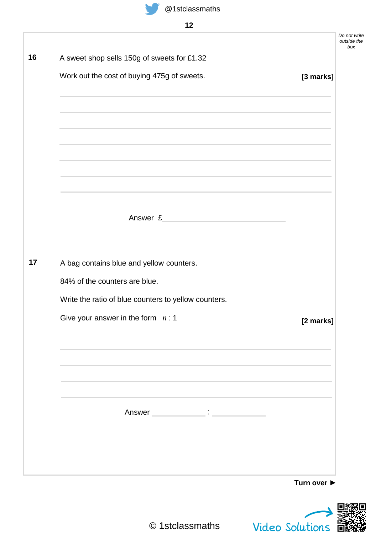

| A sweet shop sells 150g of sweets for £1.32          |           |
|------------------------------------------------------|-----------|
| Work out the cost of buying 475g of sweets.          | [3 marks] |
|                                                      |           |
|                                                      |           |
|                                                      |           |
| Answer £                                             |           |
|                                                      |           |
| A bag contains blue and yellow counters.             |           |
| 84% of the counters are blue.                        |           |
| Write the ratio of blue counters to yellow counters. |           |
| Give your answer in the form $n:1$                   | [2 marks] |
|                                                      |           |
|                                                      |           |
|                                                      |           |
|                                                      |           |
|                                                      |           |



Video Solutions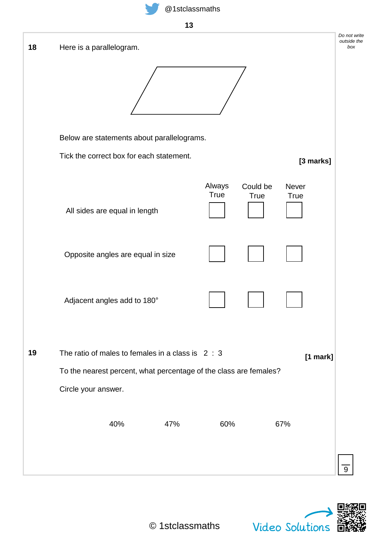

**13**

| 18 | Here is a parallelogram.                                                                                               |                |                  |               | Do not write<br>outside the<br>box |
|----|------------------------------------------------------------------------------------------------------------------------|----------------|------------------|---------------|------------------------------------|
|    |                                                                                                                        |                |                  |               |                                    |
|    | Below are statements about parallelograms.                                                                             |                |                  |               |                                    |
|    | Tick the correct box for each statement.                                                                               |                |                  | [3 marks]     |                                    |
|    | All sides are equal in length                                                                                          | Always<br>True | Could be<br>True | Never<br>True |                                    |
|    | Opposite angles are equal in size                                                                                      |                |                  |               |                                    |
|    | Adjacent angles add to 180°                                                                                            |                |                  |               |                                    |
| 19 | The ratio of males to females in a class is $2:3$<br>To the nearest percent, what percentage of the class are females? |                |                  | [1 mark]      |                                    |
|    | Circle your answer.                                                                                                    |                |                  |               |                                    |
|    | 40%<br>47%                                                                                                             | 60%            |                  | 67%           |                                    |
|    |                                                                                                                        |                |                  |               |                                    |

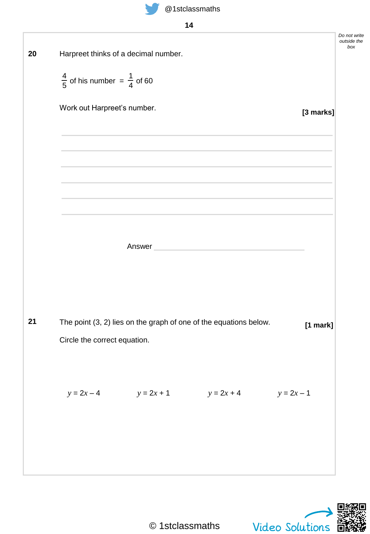

|              |                                                   | Harpreet thinks of a decimal number. |                                                                                                                |              | Do not write<br>outside the |
|--------------|---------------------------------------------------|--------------------------------------|----------------------------------------------------------------------------------------------------------------|--------------|-----------------------------|
|              | $\frac{4}{5}$ of his number = $\frac{1}{4}$ of 60 |                                      |                                                                                                                |              |                             |
|              | Work out Harpreet's number.                       |                                      |                                                                                                                | [3 marks]    |                             |
|              |                                                   |                                      |                                                                                                                |              |                             |
|              |                                                   |                                      |                                                                                                                |              |                             |
|              |                                                   |                                      |                                                                                                                |              |                             |
|              |                                                   |                                      | Answer and the contract of the contract of the contract of the contract of the contract of the contract of the |              |                             |
|              |                                                   |                                      |                                                                                                                |              |                             |
|              |                                                   |                                      | The point (3, 2) lies on the graph of one of the equations below.                                              | [1 mark]     |                             |
|              | Circle the correct equation.                      |                                      |                                                                                                                |              |                             |
| $y = 2x - 4$ |                                                   | $y = 2x + 1$                         | $y = 2x + 4$                                                                                                   | $y = 2x - 1$ |                             |
|              |                                                   |                                      |                                                                                                                |              |                             |
|              |                                                   |                                      |                                                                                                                |              |                             |
|              |                                                   |                                      |                                                                                                                |              |                             |

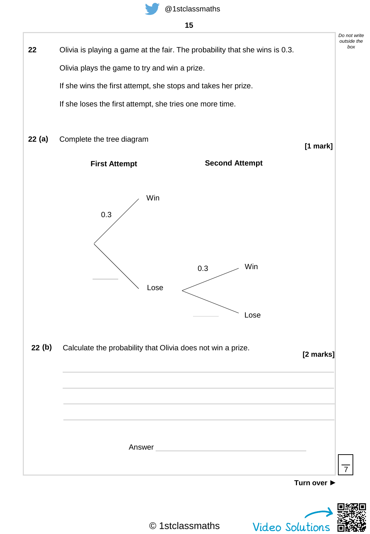

## **15**



© 1stclassmaths

Video Solutions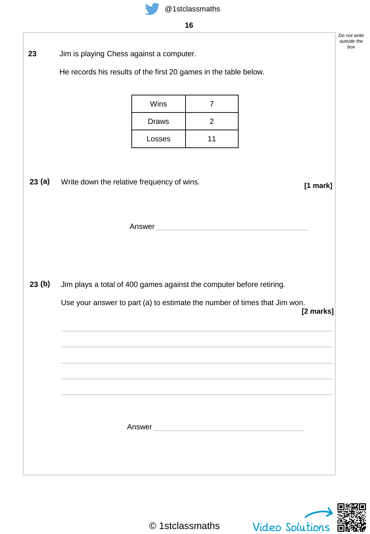

**16**

Jim is playing Chess against a computer. **23**

He records his results of the first 20 games in the table below.

| Wins   |    |
|--------|----|
| Draws  | 2  |
| Losses | 11 |

Write down the relative frequency of wins. **[1 mark] 23 (a)**

Answer **Answer** 

Jim plays a total of 400 games against the computer before retiring. **23 (b)**

Answer

Use your answer to part (a) to estimate the number of times that Jim won.

*Do not write outside the box*

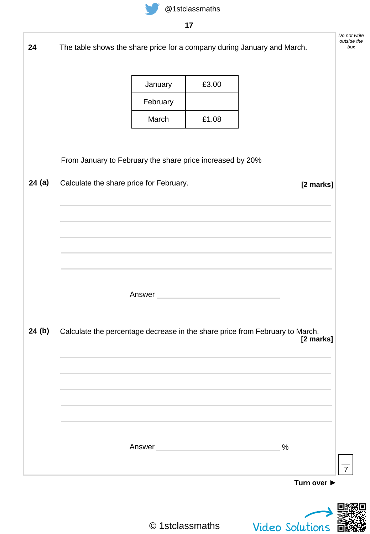

|        |                                                                              |                                                                                                                | .,                                       |                        |             |
|--------|------------------------------------------------------------------------------|----------------------------------------------------------------------------------------------------------------|------------------------------------------|------------------------|-------------|
| 24     | The table shows the share price for a company during January and March.      |                                                                                                                |                                          |                        |             |
|        |                                                                              | January                                                                                                        | £3.00                                    |                        |             |
|        |                                                                              | February                                                                                                       |                                          |                        |             |
|        |                                                                              | March                                                                                                          | £1.08                                    |                        |             |
|        | From January to February the share price increased by 20%                    |                                                                                                                |                                          |                        |             |
| 24(a)  | Calculate the share price for February.                                      |                                                                                                                |                                          |                        | [2 marks]   |
|        |                                                                              |                                                                                                                |                                          |                        |             |
|        |                                                                              |                                                                                                                |                                          |                        |             |
|        |                                                                              |                                                                                                                |                                          |                        |             |
|        |                                                                              |                                                                                                                |                                          |                        |             |
|        |                                                                              | Answer                                                                                                         | <u> 1980 - Johann Barbara, martxa al</u> |                        |             |
|        |                                                                              |                                                                                                                |                                          |                        |             |
| 24 (b) | Calculate the percentage decrease in the share price from February to March. |                                                                                                                |                                          |                        | [2 marks]   |
|        |                                                                              |                                                                                                                |                                          |                        |             |
|        |                                                                              |                                                                                                                |                                          |                        |             |
|        |                                                                              |                                                                                                                |                                          |                        |             |
|        |                                                                              |                                                                                                                |                                          |                        |             |
|        |                                                                              | Answer and the contract of the contract of the contract of the contract of the contract of the contract of the |                                          | $\%$                   |             |
|        |                                                                              |                                                                                                                |                                          |                        | Turn over ▶ |
|        |                                                                              |                                                                                                                |                                          |                        |             |
|        |                                                                              | © 1stclassmaths                                                                                                |                                          | <b>Video Solutions</b> |             |
|        |                                                                              |                                                                                                                |                                          |                        |             |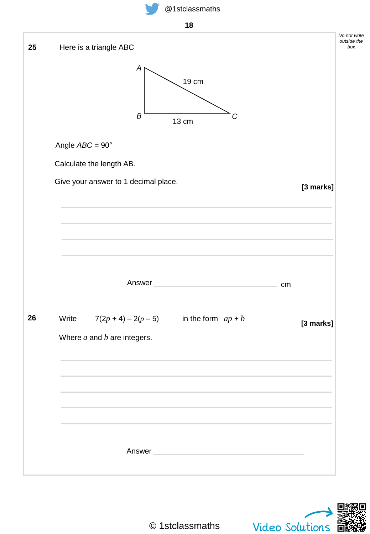



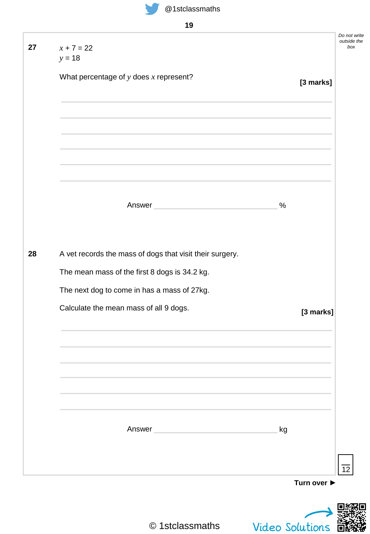

**19**

| $x + 7 = 22$                                             |                 | Do not write<br>outside the<br>box |
|----------------------------------------------------------|-----------------|------------------------------------|
| $y = 18$                                                 |                 |                                    |
| What percentage of $y$ does $x$ represent?               | [3 marks]       |                                    |
|                                                          |                 |                                    |
|                                                          |                 |                                    |
| Answer                                                   | %               |                                    |
| A vet records the mass of dogs that visit their surgery. |                 |                                    |
| The mean mass of the first 8 dogs is 34.2 kg.            |                 |                                    |
| The next dog to come in has a mass of 27kg.              |                 |                                    |
| Calculate the mean mass of all 9 dogs.                   | [3 marks]       |                                    |
|                                                          |                 |                                    |
|                                                          |                 |                                    |
| Answer                                                   | kg              |                                    |
|                                                          | Turn over ▶     | 12                                 |
|                                                          |                 |                                    |
|                                                          |                 |                                    |
| © 1stclassmaths                                          | Video Solutions |                                    |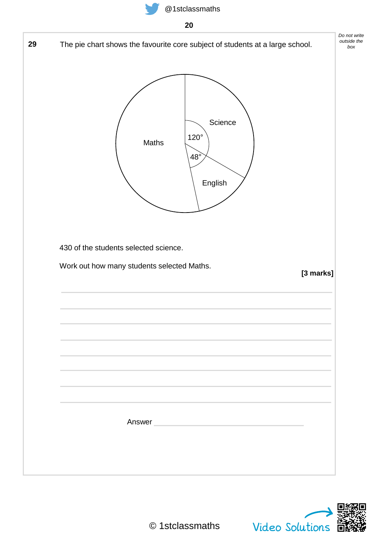



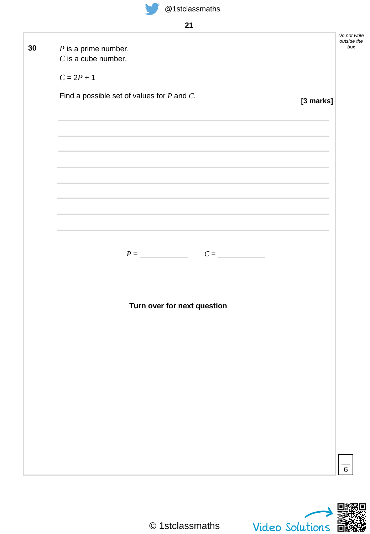

| . . | ł |
|-----|---|
|     |   |

|    |                                                                                                                                                                                                                               |           | Do not write<br>outside the |
|----|-------------------------------------------------------------------------------------------------------------------------------------------------------------------------------------------------------------------------------|-----------|-----------------------------|
| 30 | $P$ is a prime number.                                                                                                                                                                                                        |           | box                         |
|    | $C$ is a cube number.                                                                                                                                                                                                         |           |                             |
|    |                                                                                                                                                                                                                               |           |                             |
|    | $C = 2P + 1$                                                                                                                                                                                                                  |           |                             |
|    |                                                                                                                                                                                                                               |           |                             |
|    | Find a possible set of values for $P$ and $C$ .                                                                                                                                                                               |           |                             |
|    |                                                                                                                                                                                                                               | [3 marks] |                             |
|    |                                                                                                                                                                                                                               |           |                             |
|    |                                                                                                                                                                                                                               |           |                             |
|    |                                                                                                                                                                                                                               |           |                             |
|    |                                                                                                                                                                                                                               |           |                             |
|    | the contract of the contract of the contract of the contract of the contract of                                                                                                                                               |           |                             |
|    |                                                                                                                                                                                                                               |           |                             |
|    |                                                                                                                                                                                                                               |           |                             |
|    |                                                                                                                                                                                                                               |           |                             |
|    | the control of the control of the control of the control of the control of the control of the control of the control of the control of the control of the control of the control of the control of the control of the control |           |                             |
|    |                                                                                                                                                                                                                               |           |                             |
|    |                                                                                                                                                                                                                               |           |                             |
|    | the control of the control of the control of the control of the control of the control of the control of the control of the control of the control of the control of the control of the control of the control of the control |           |                             |
|    |                                                                                                                                                                                                                               |           |                             |
|    |                                                                                                                                                                                                                               |           |                             |
|    |                                                                                                                                                                                                                               |           |                             |
|    |                                                                                                                                                                                                                               |           |                             |
|    | $P =$ $C =$                                                                                                                                                                                                                   |           |                             |
|    |                                                                                                                                                                                                                               |           |                             |
|    |                                                                                                                                                                                                                               |           |                             |
|    |                                                                                                                                                                                                                               |           |                             |
|    |                                                                                                                                                                                                                               |           |                             |
|    | Turn over for next question                                                                                                                                                                                                   |           |                             |
|    |                                                                                                                                                                                                                               |           |                             |
|    |                                                                                                                                                                                                                               |           |                             |
|    |                                                                                                                                                                                                                               |           |                             |
|    |                                                                                                                                                                                                                               |           |                             |
|    |                                                                                                                                                                                                                               |           |                             |
|    |                                                                                                                                                                                                                               |           |                             |
|    |                                                                                                                                                                                                                               |           |                             |
|    |                                                                                                                                                                                                                               |           |                             |
|    |                                                                                                                                                                                                                               |           |                             |
|    |                                                                                                                                                                                                                               |           |                             |
|    |                                                                                                                                                                                                                               |           |                             |
|    |                                                                                                                                                                                                                               |           |                             |
|    |                                                                                                                                                                                                                               |           |                             |
|    |                                                                                                                                                                                                                               |           |                             |
|    |                                                                                                                                                                                                                               |           |                             |
|    |                                                                                                                                                                                                                               |           |                             |
|    |                                                                                                                                                                                                                               |           |                             |
|    |                                                                                                                                                                                                                               |           | $\overline{6}$              |
|    |                                                                                                                                                                                                                               |           |                             |
|    |                                                                                                                                                                                                                               |           |                             |